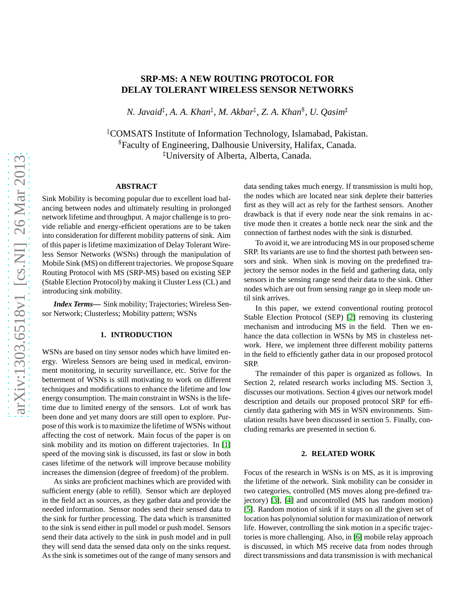# **SRP-MS: A NEW ROUTING PROTOCOL FOR DELAY TOLERANT WIRELESS SENSOR NETWORKS**

*N. Javaid*‡ *, A. A. Khan*‡ *, M. Akbar*‡ *, Z. A. Khan*\$ *, U. Qasim*<sup>♯</sup>

‡COMSATS Institute of Information Technology, Islamabad, Pakistan. \$Faculty of Engineering, Dalhousie University, Halifax, Canada. <sup>♯</sup>University of Alberta, Alberta, Canada.

#### **ABSTRACT**

Sink Mobility is becoming popular due to excellent load balancing between nodes and ultimately resulting in prolonged network lifetime and throughput. A major challenge is to provide reliable and energy-efficient operations are to be taken into consideration for different mobility patterns of sink. Aim of this paper is lifetime maximization of Delay Tolerant Wireless Sensor Networks (WSNs) through the manipulation of Mobile Sink (MS) on different trajectories. We propose Square Routing Protocol with MS (SRP-MS) based on existing SEP (Stable Election Protocol) by making it Cluster Less (CL) and introducing sink mobility.

*Index Terms***—** Sink mobility; Trajectories; Wireless Sensor Network; Clusterless; Mobility pattern; WSNs

#### **1. INTRODUCTION**

WSNs are based on tiny sensor nodes which have limited energy. Wireless Sensors are being used in medical, environment monitoring, in security surveillance, etc. Strive for the betterment of WSNs is still motivating to work on different techniques and modifications to enhance the lifetime and low energy consumption. The main constraint in WSNs is the lifetime due to limited energy of the sensors. Lot of work has been done and yet many doors are still open to explore. Purpose of this work is to maximize the lifetime of WSNs without affecting the cost of network. Main focus of the paper is on sink mobility and its motion on different trajectories. In [\[1\]](#page-3-0) speed of the moving sink is discussed, its fast or slow in both cases lifetime of the network will improve because mobility increases the dimension (degree of freedom) of the problem.

As sinks are proficient machines which are provided with sufficient energy (able to refill). Sensor which are deployed in the field act as sources, as they gather data and provide the needed information. Sensor nodes send their sensed data to the sink for further processing. The data which is transmitted to the sink is send either in pull model or push model. Sensors send their data actively to the sink in push model and in pull they will send data the sensed data only on the sinks request. As the sink is sometimes out of the range of many sensors and

data sending takes much energy. If transmission is multi hop, the nodes which are located near sink deplete their batteries first as they will act as rely for the farthest sensors. Another drawback is that if every node near the sink remains in active mode then it creates a bottle neck near the sink and the connection of farthest nodes with the sink is disturbed.

To avoid it, we are introducing MS in our proposed scheme SRP. Its variants are use to find the shortest path between sensors and sink. When sink is moving on the predefined trajectory the sensor nodes in the field and gathering data, only sensors in the sensing range send their data to the sink. Other nodes which are out from sensing range go in sleep mode until sink arrives.

In this paper, we extend conventional routing protocol Stable Election Protocol (SEP) [\[2\]](#page-3-1) removing its clustering mechanism and introducing MS in the field. Then we enhance the data collection in WSNs by MS in clusteless network. Here, we implement three different mobility patterns in the field to efficiently gather data in our proposed protocol SRP.

The remainder of this paper is organized as follows. In Section 2, related research works including MS. Section 3, discusses our motivations. Section 4 gives our network model description and details our proposed protocol SRP for efficiently data gathering with MS in WSN environments. Simulation results have been discussed in section 5. Finally, concluding remarks are presented in section 6.

#### **2. RELATED WORK**

Focus of the research in WSNs is on MS, as it is improving the lifetime of the network. Sink mobility can be consider in two categories, controlled (MS moves along pre-defined trajectory) [\[3\]](#page-3-2), [\[4\]](#page-3-3) and uncontrolled (MS has random motion) [\[5\]](#page-3-4). Random motion of sink if it stays on all the given set of location has polynomial solution for maximization of network life. However, controlling the sink motion in a specific trajectories is more challenging. Also, in [\[6\]](#page-3-5) mobile relay approach is discussed, in which MS receive data from nodes through direct transmissions and data transmission is with mechanical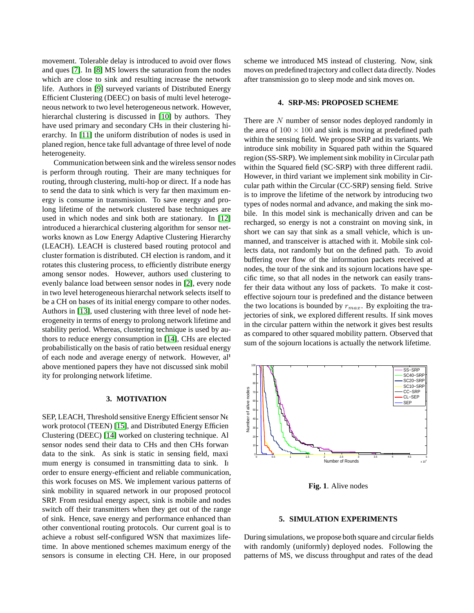movement. Tolerable delay is introduced to avoid over flows and ques [\[7\]](#page-3-6). In [\[8\]](#page-3-7) MS lowers the saturation from the nodes which are close to sink and resulting increase the network life. Authors in [\[9\]](#page-3-8) surveyed variants of Distributed Energy Efficient Clustering (DEEC) on basis of multi level heterogeneous network to two level heterogeneous network. However, hierarchal clustering is discussed in [\[10\]](#page-3-9) by authors. They have used primary and secondary CHs in their clustering hierarchy. In [\[11\]](#page-3-10) the uniform distribution of nodes is used in planed region, hence take full advantage of three level of node heterogeneity.

Communication between sink and the wireless sensor nodes is perform through routing. Their are many techniques for routing, through clustering, multi-hop or direct. If a node has to send the data to sink which is very far then maximum energy is consume in transmission. To save energy and prolong lifetime of the network clustered base techniques are used in which nodes and sink both are stationary. In [\[12\]](#page-3-11) introduced a hierarchical clustering algorithm for sensor networks known as Low Energy Adaptive Clustering Hierarchy (LEACH). LEACH is clustered based routing protocol and cluster formation is distributed. CH election is random, and it rotates this clustering process, to efficiently distribute energy among sensor nodes. However, authors used clustering to evenly balance load between sensor nodes in [\[2\]](#page-3-1), every node in two level heterogeneous hierarchal network selects itself to be a CH on bases of its initial energy compare to other nodes. Authors in [\[13\]](#page-3-12), used clustering with three level of node heterogeneity in terms of energy to prolong network lifetime and stability period. Whereas, clustering technique is used by authors to reduce energy consumption in [\[14\]](#page-3-13), CHs are elected probabilistically on the basis of ratio between residual energy of each node and average energy of network. However, all above mentioned papers they have not discussed sink mobility for prolonging network lifetime.

#### **3. MOTIVATION**

SEP, LEACH, Threshold sensitive Energy Efficient sensor N $\varepsilon$ work protocol (TEEN) [\[15\]](#page-3-14), and Distributed Energy Efficient Clustering (DEEC) [\[14\]](#page-3-13) worked on clustering technique. All sensor nodes send their data to CHs and then CHs forward data to the sink. As sink is static in sensing field, maximum energy is consumed in transmitting data to sink. In order to ensure energy-efficient and reliable communication, this work focuses on MS. We implement various patterns of sink mobility in squared network in our proposed protocol SRP. From residual energy aspect, sink is mobile and nodes switch off their transmitters when they get out of the range of sink. Hence, save energy and performance enhanced than other conventional routing protocols. Our current goal is to achieve a robust self-configured WSN that maximizes lifetime. In above mentioned schemes maximum energy of the sensors is consume in electing CH. Here, in our proposed scheme we introduced MS instead of clustering. Now, sink moves on predefined trajectory and collect data directly. Nodes after transmission go to sleep mode and sink moves on.

### **4. SRP-MS: PROPOSED SCHEME**

There are N number of sensor nodes deployed randomly in the area of  $100 \times 100$  and sink is moving at predefined path within the sensing field. We propose SRP and its variants. We introduce sink mobility in Squared path within the Squared region (SS-SRP). We implement sink mobility in Circular path within the Squared field (SC-SRP) with three different radii. However, in third variant we implement sink mobility in Circular path within the Circular (CC-SRP) sensing field. Strive is to improve the lifetime of the network by introducing two types of nodes normal and advance, and making the sink mobile. In this model sink is mechanically driven and can be recharged, so energy is not a constraint on moving sink, in short we can say that sink as a small vehicle, which is unmanned, and transceiver is attached with it. Mobile sink collects data, not randomly but on the defined path. To avoid buffering over flow of the information packets received at nodes, the tour of the sink and its sojourn locations have specific time, so that all nodes in the network can easily transfer their data without any loss of packets. To make it costeffective sojourn tour is predefined and the distance between the two locations is bounded by  $r_{max}$ . By exploiting the trajectories of sink, we explored different results. If sink moves in the circular pattern within the network it gives best results as compared to other squared mobility pattern. Observed that sum of the sojourn locations is actually the network lifetime.



**Fig. 1**. Alive nodes

## **5. SIMULATION EXPERIMENTS**

During simulations, we propose both square and circular fields with randomly (uniformly) deployed nodes. Following the patterns of MS, we discuss throughput and rates of the dead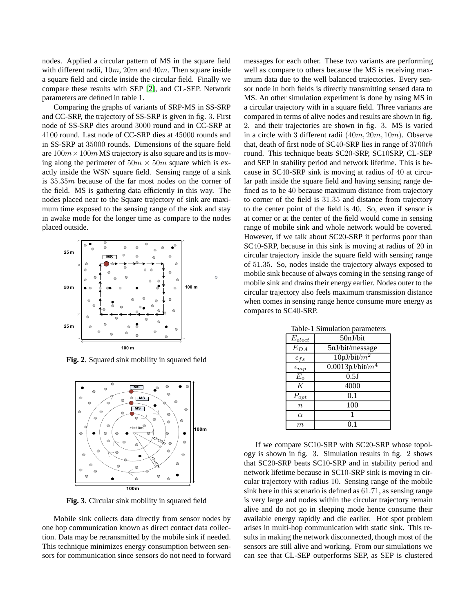nodes. Applied a circular pattern of MS in the square field with different radii,  $10m$ ,  $20m$  and  $40m$ . Then square inside a square field and circle inside the circular field. Finally we compare these results with SEP [\[2\]](#page-3-1), and CL-SEP. Network parameters are defined in table 1.

Comparing the graphs of variants of SRP-MS in SS-SRP and CC-SRP, the trajectory of SS-SRP is given in fig. 3. First node of SS-SRP dies around 3000 round and in CC-SRP at 4100 round. Last node of CC-SRP dies at 45000 rounds and in SS-SRP at 35000 rounds. Dimensions of the square field are  $100m \times 100m$  MS trajectory is also square and its is moving along the perimeter of  $50m \times 50m$  square which is exactly inside the WSN square field. Sensing range of a sink is 35.35m because of the far most nodes on the corner of the field. MS is gathering data efficiently in this way. The nodes placed near to the Square trajectory of sink are maximum time exposed to the sensing range of the sink and stay in awake mode for the longer time as compare to the nodes placed outside.



**Fig. 2**. Squared sink mobility in squared field



**Fig. 3**. Circular sink mobility in squared field

Mobile sink collects data directly from sensor nodes by one hop communication known as direct contact data collection. Data may be retransmitted by the mobile sink if needed. This technique minimizes energy consumption between sensors for communication since sensors do not need to forward messages for each other. These two variants are performing well as compare to others because the MS is receiving maximum data due to the well balanced trajectories. Every sensor node in both fields is directly transmitting sensed data to MS. An other simulation experiment is done by using MS in a circular trajectory with in a square field. Three variants are compared in terms of alive nodes and results are shown in fig. 2. and their trajectories are shown in fig. 3. MS is varied in a circle with 3 different radii  $(40m, 20m, 10m)$ . Observe that, death of first node of SC40-SRP lies in range of 3700th round. This technique beats SC20-SRP, SC10SRP, CL-SEP and SEP in stability period and network lifetime. This is because in SC40-SRP sink is moving at radius of 40 at circular path inside the square field and having sensing range defined as to be 40 because maximum distance from trajectory to corner of the field is 31.35 and distance from trajectory to the center point of the field is 40. So, even if sensor is at corner or at the center of the field would come in sensing range of mobile sink and whole network would be covered. However, if we talk about SC20-SRP it performs poor than SC40-SRP, because in this sink is moving at radius of 20 in circular trajectory inside the square field with sensing range of 51.35. So, nodes inside the trajectory always exposed to mobile sink because of always coming in the sensing range of mobile sink and drains their energy earlier. Nodes outer to the circular trajectory also feels maximum transmission distance when comes in sensing range hence consume more energy as compares to SC40-SRP.

| $E_{elect}$     | 50nJ/bit                    |
|-----------------|-----------------------------|
| $E_{DA}$        | 5nJ/bit/message             |
| $\epsilon_{fs}$ | 10pJ/bit/m <sup>2</sup>     |
| $\epsilon_{mp}$ | 0.0013pJ/bit/m <sup>4</sup> |
| $E_{o}$         | 0.5J                        |
| K               | 4000                        |
| $P_{opt}$       | 0.1                         |
| $\overline{n}$  | 100                         |
| $\alpha$        |                             |
| $m\,$           | 0.1                         |

Table-1 Simulation parameters

If we compare SC10-SRP with SC20-SRP whose topology is shown in fig. 3. Simulation results in fig. 2 shows that SC20-SRP beats SC10-SRP and in stability period and network lifetime because in SC10-SRP sink is moving in circular trajectory with radius 10. Sensing range of the mobile sink here in this scenario is defined as 61.71, as sensing range is very large and nodes within the circular trajectory remain alive and do not go in sleeping mode hence consume their available energy rapidly and die earlier. Hot spot problem arises in multi-hop communication with static sink. This results in making the network disconnected, though most of the sensors are still alive and working. From our simulations we can see that CL-SEP outperforms SEP, as SEP is clustered